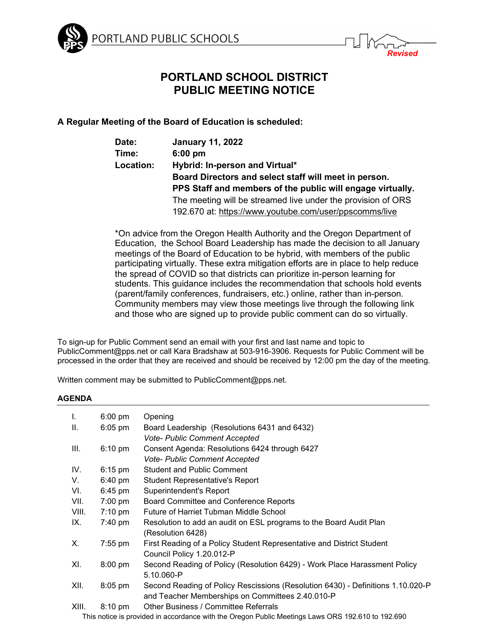



*Revised*

# **A Regular Meeting of the Board of Education is scheduled:**

| Date:     | <b>January 11, 2022</b>                                      |
|-----------|--------------------------------------------------------------|
| Time:     | $6:00$ pm                                                    |
| Location: | Hybrid: In-person and Virtual*                               |
|           | Board Directors and select staff will meet in person.        |
|           | PPS Staff and members of the public will engage virtually.   |
|           | The meeting will be streamed live under the provision of ORS |
|           | 192.670 at: https://www.youtube.com/user/ppscomms/live       |

\*On [advice](https://content.govdelivery.com/accounts/ORED/bulletins/303bc02) from the Oregon Health Authority and the Oregon Department of Education, the School Board Leadership has made the decision to all January meetings of the Board of Education to be hybrid, with members of the public participating virtually. These extra mitigation efforts are in place to help reduce the spread of COVID so that districts can prioritize in-person learning for students. This guidance includes the recommendation that schools hold events (parent/family conferences, fundraisers, etc.) online, rather than in-person. Community members may view those meetings live through the following [link](https://www.youtube.com/user/ppscomms/live) and those who are signed up to provide public comment can do so virtually.

To sign-up for Public Comment send an email with your first and last name and topic to PublicComment@pps.net or call Kara Bradshaw at 503-916-3906. Requests for Public Comment will be processed in the order that they are received and should be received by 12:00 pm the day of the meeting.

Written comment may be submitted to PublicComment@pps.net.

## **AGENDA**

| L.    | $6:00 \text{ pm}$ | Opening                                                                                           |
|-------|-------------------|---------------------------------------------------------------------------------------------------|
| Ш.    | $6:05$ pm         | Board Leadership (Resolutions 6431 and 6432)                                                      |
|       |                   | <b>Vote- Public Comment Accepted</b>                                                              |
| III.  | $6:10 \text{ pm}$ | Consent Agenda: Resolutions 6424 through 6427                                                     |
|       |                   | <b>Vote- Public Comment Accepted</b>                                                              |
| IV.   | $6:15$ pm         | <b>Student and Public Comment</b>                                                                 |
| V.    | 6:40 pm           | <b>Student Representative's Report</b>                                                            |
| VI.   | $6:45$ pm         | Superintendent's Report                                                                           |
| VII.  | 7:00 pm           | Board Committee and Conference Reports                                                            |
| VIII. | $7:10 \text{ pm}$ | Future of Harriet Tubman Middle School                                                            |
| IX.   | 7:40 pm           | Resolution to add an audit on ESL programs to the Board Audit Plan                                |
|       |                   | (Resolution 6428)                                                                                 |
| Х.    | $7:55$ pm         | First Reading of a Policy Student Representative and District Student                             |
|       |                   | Council Policy 1.20.012-P                                                                         |
| XI.   | $8:00$ pm         | Second Reading of Policy (Resolution 6429) - Work Place Harassment Policy                         |
|       |                   | 5.10.060-P                                                                                        |
| XII.  | $8:05$ pm         | Second Reading of Policy Rescissions (Resolution 6430) - Definitions 1.10.020-P                   |
|       |                   | and Teacher Memberships on Committees 2.40.010-P                                                  |
| XIII. | $8:10 \text{ pm}$ | Other Business / Committee Referrals                                                              |
|       |                   | This nation is provided in esserdence with the Oregon Dublie Meetings Laws ODP 100 610 to 100 600 |

This notice is provided in accordance with the Oregon Public Meetings Laws ORS 192.610 to 192.690